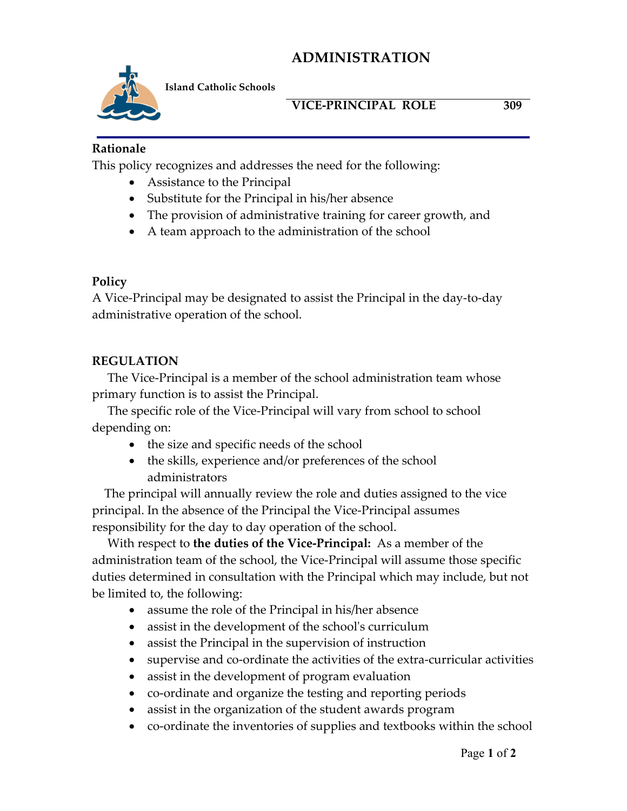# **ADMINISTRATION**



**Island Catholic Schools** 

#### **VICE-PRINCIPAL ROLE 309**

#### **Rationale**

This policy recognizes and addresses the need for the following:

- Assistance to the Principal
- Substitute for the Principal in his/her absence
- The provision of administrative training for career growth, and
- A team approach to the administration of the school

### **Policy**

A Vice-Principal may be designated to assist the Principal in the day-to-day administrative operation of the school.

### **REGULATION**

The Vice-Principal is a member of the school administration team whose primary function is to assist the Principal.

The specific role of the Vice-Principal will vary from school to school depending on:

- the size and specific needs of the school
- the skills, experience and/or preferences of the school administrators

 The principal will annually review the role and duties assigned to the vice principal. In the absence of the Principal the Vice-Principal assumes responsibility for the day to day operation of the school.

 With respect to **the duties of the Vice-Principal:** As a member of the administration team of the school, the Vice-Principal will assume those specific duties determined in consultation with the Principal which may include, but not be limited to, the following:

- assume the role of the Principal in his/her absence
- assist in the development of the school's curriculum
- assist the Principal in the supervision of instruction
- supervise and co-ordinate the activities of the extra-curricular activities
- assist in the development of program evaluation
- co-ordinate and organize the testing and reporting periods
- assist in the organization of the student awards program
- co-ordinate the inventories of supplies and textbooks within the school